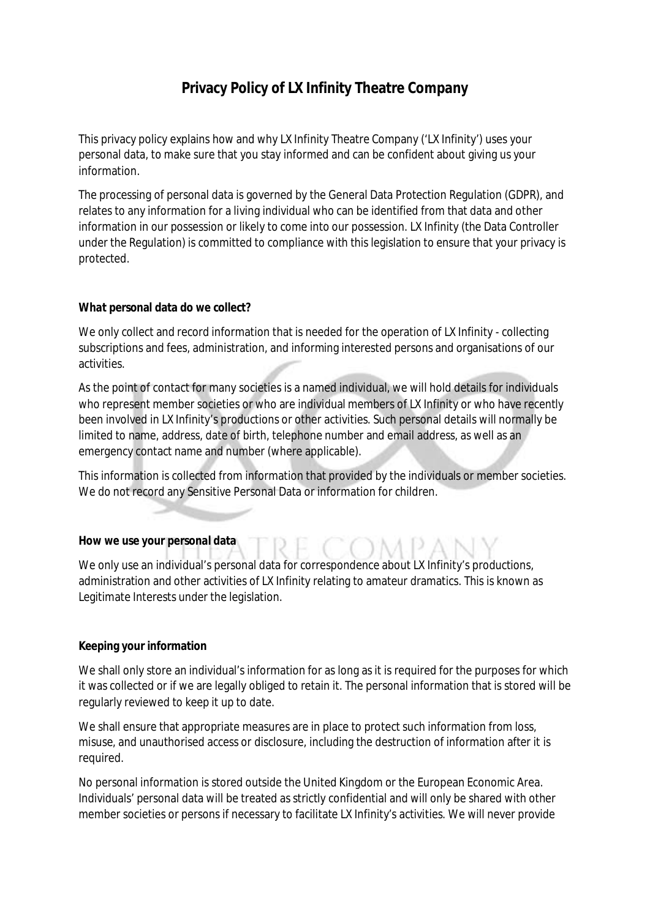# **Privacy Policy of LX Infinity Theatre Company**

This privacy policy explains how and why LX Infinity Theatre Company ('LX Infinity') uses your personal data, to make sure that you stay informed and can be confident about giving us your information.

The processing of personal data is governed by the General Data Protection Regulation (GDPR), and relates to any information for a living individual who can be identified from that data and other information in our possession or likely to come into our possession. LX Infinity (the Data Controller under the Regulation) is committed to compliance with this legislation to ensure that your privacy is protected.

#### **What personal data do we collect?**

We only collect and record information that is needed for the operation of LX Infinity - collecting subscriptions and fees, administration, and informing interested persons and organisations of our activities.

As the point of contact for many societies is a named individual, we will hold details for individuals who represent member societies or who are individual members of LX Infinity or who have recently been involved in LX Infinity's productions or other activities. Such personal details will normally be limited to name, address, date of birth, telephone number and email address, as well as an emergency contact name and number (where applicable).

This information is collected from information that provided by the individuals or member societies. We do not record any Sensitive Personal Data or information for children.

**How we use your personal data**

We only use an individual's personal data for correspondence about LX Infinity's productions, administration and other activities of LX Infinity relating to amateur dramatics. This is known as Legitimate Interests under the legislation.

#### **Keeping your information**

We shall only store an individual's information for as long as it is required for the purposes for which it was collected or if we are legally obliged to retain it. The personal information that is stored will be regularly reviewed to keep it up to date.

We shall ensure that appropriate measures are in place to protect such information from loss, misuse, and unauthorised access or disclosure, including the destruction of information after it is required.

No personal information is stored outside the United Kingdom or the European Economic Area. Individuals' personal data will be treated as strictly confidential and will only be shared with other member societies or persons if necessary to facilitate LX Infinity's activities. We will never provide